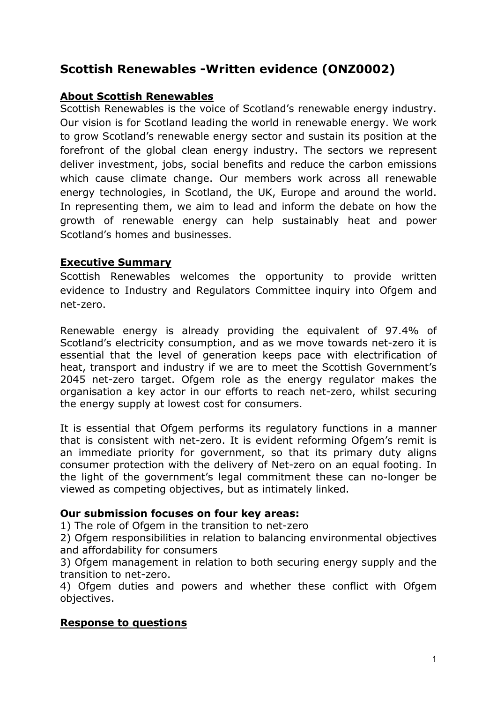# **Scottish Renewables -Written evidence (ONZ0002)**

## **About Scottish Renewables**

Scottish Renewables is the voice of Scotland's renewable energy industry. Our vision is for Scotland leading the world in renewable energy. We work to grow Scotland's renewable energy sector and sustain its position at the forefront of the global clean energy industry. The sectors we represent deliver investment, jobs, social benefits and reduce the carbon emissions which cause climate change. Our members work across all renewable energy technologies, in Scotland, the UK, Europe and around the world. In representing them, we aim to lead and inform the debate on how the growth of renewable energy can help sustainably heat and power Scotland's homes and businesses.

## **Executive Summary**

Scottish Renewables welcomes the opportunity to provide written evidence to Industry and Regulators Committee inquiry into Ofgem and net-zero.

Renewable energy is already providing the equivalent of 97.4% of Scotland's electricity consumption, and as we move towards net-zero it is essential that the level of generation keeps pace with electrification of heat, transport and industry if we are to meet the Scottish Government's 2045 net-zero target. Ofgem role as the energy regulator makes the organisation a key actor in our efforts to reach net-zero, whilst securing the energy supply at lowest cost for consumers.

It is essential that Ofgem performs its regulatory functions in a manner that is consistent with net-zero. It is evident reforming Ofgem's remit is an immediate priority for government, so that its primary duty aligns consumer protection with the delivery of Net-zero on an equal footing. In the light of the government's legal commitment these can no-longer be viewed as competing objectives, but as intimately linked.

#### **Our submission focuses on four key areas:**

1) The role of Ofgem in the transition to net-zero

2) Ofgem responsibilities in relation to balancing environmental objectives and affordability for consumers

3) Ofgem management in relation to both securing energy supply and the transition to net-zero.

4) Ofgem duties and powers and whether these conflict with Ofgem objectives.

# **Response to questions**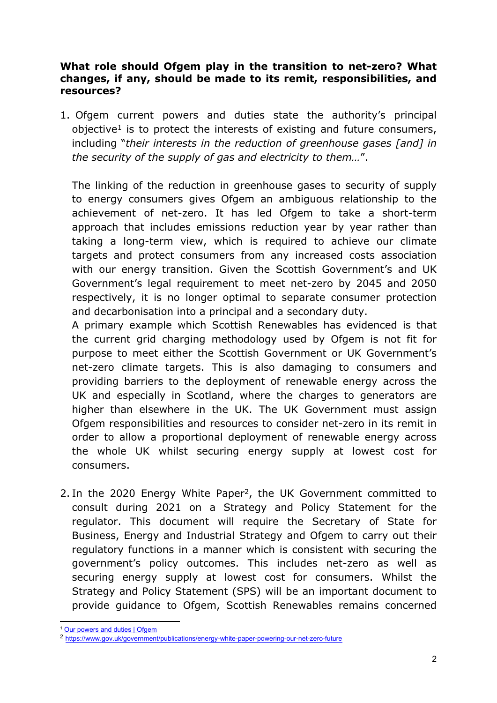#### **What role should Ofgem play in the transition to net-zero? What changes, if any, should be made to its remit, responsibilities, and resources?**

1. Ofgem current powers and duties state the authority's principal objective<sup>1</sup> is to protect the interests of existing and future consumers, including "*their interests in the reduction of greenhouse gases [and] in the security of the supply of gas and electricity to them…*".

The linking of the reduction in greenhouse gases to security of supply to energy consumers gives Ofgem an ambiguous relationship to the achievement of net-zero. It has led Ofgem to take a short-term approach that includes emissions reduction year by year rather than taking a long-term view, which is required to achieve our climate targets and protect consumers from any increased costs association with our energy transition. Given the Scottish Government's and UK Government's legal requirement to meet net-zero by 2045 and 2050 respectively, it is no longer optimal to separate consumer protection and decarbonisation into a principal and a secondary duty.

A primary example which Scottish Renewables has evidenced is that the current grid charging methodology used by Ofgem is not fit for purpose to meet either the Scottish Government or UK Government's net-zero climate targets. This is also damaging to consumers and providing barriers to the deployment of renewable energy across the UK and especially in Scotland, where the charges to generators are higher than elsewhere in the UK. The UK Government must assign Ofgem responsibilities and resources to consider net-zero in its remit in order to allow a proportional deployment of renewable energy across the whole UK whilst securing energy supply at lowest cost for consumers.

2. In the 2020 Energy White Paper<sup>2</sup>, the UK Government committed to consult during 2021 on a Strategy and Policy Statement for the regulator. This document will require the Secretary of State for Business, Energy and Industrial Strategy and Ofgem to carry out their regulatory functions in a manner which is consistent with securing the government's policy outcomes. This includes net-zero as well as securing energy supply at lowest cost for consumers. Whilst the Strategy and Policy Statement (SPS) will be an important document to provide guidance to Ofgem, Scottish Renewables remains concerned

<sup>&</sup>lt;sup>1</sup> [Our](https://www.ofgem.gov.uk/publications/our-powers-and-duties) [powers](https://www.ofgem.gov.uk/publications/our-powers-and-duties) [and](https://www.ofgem.gov.uk/publications/our-powers-and-duties) [duties](https://www.ofgem.gov.uk/publications/our-powers-and-duties) I [Ofgem](https://www.ofgem.gov.uk/publications/our-powers-and-duties)

<sup>2</sup> <https://www.gov.uk/government/publications/energy-white-paper-powering-our-net-zero-future>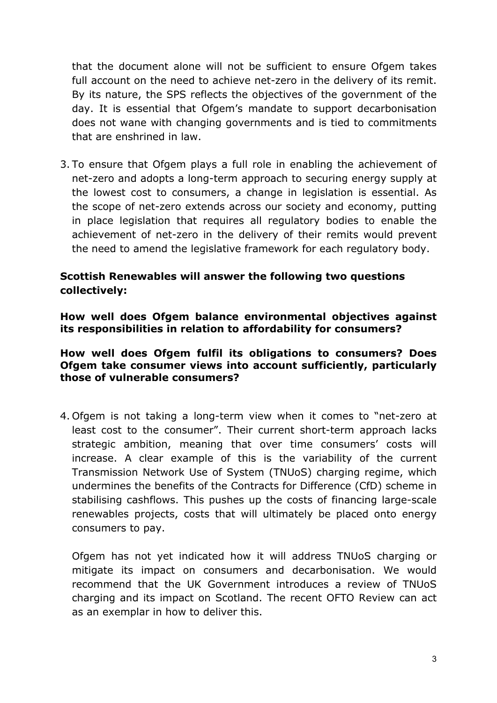that the document alone will not be sufficient to ensure Ofgem takes full account on the need to achieve net-zero in the delivery of its remit. By its nature, the SPS reflects the objectives of the government of the day. It is essential that Ofgem's mandate to support decarbonisation does not wane with changing governments and is tied to commitments that are enshrined in law.

3. To ensure that Ofgem plays a full role in enabling the achievement of net-zero and adopts a long-term approach to securing energy supply at the lowest cost to consumers, a change in legislation is essential. As the scope of net-zero extends across our society and economy, putting in place legislation that requires all regulatory bodies to enable the achievement of net-zero in the delivery of their remits would prevent the need to amend the legislative framework for each regulatory body.

# **Scottish Renewables will answer the following two questions collectively:**

**How well does Ofgem balance environmental objectives against its responsibilities in relation to affordability for consumers?**

#### **How well does Ofgem fulfil its obligations to consumers? Does Ofgem take consumer views into account sufficiently, particularly those of vulnerable consumers?**

4. Ofgem is not taking a long-term view when it comes to "net-zero at least cost to the consumer". Their current short-term approach lacks strategic ambition, meaning that over time consumers' costs will increase. A clear example of this is the variability of the current Transmission Network Use of System (TNUoS) charging regime, which undermines the benefits of the Contracts for Difference (CfD) scheme in stabilising cashflows. This pushes up the costs of financing large-scale renewables projects, costs that will ultimately be placed onto energy consumers to pay.

Ofgem has not yet indicated how it will address TNUoS charging or mitigate its impact on consumers and decarbonisation. We would recommend that the UK Government introduces a review of TNUoS charging and its impact on Scotland. The recent OFTO Review can act as an exemplar in how to deliver this.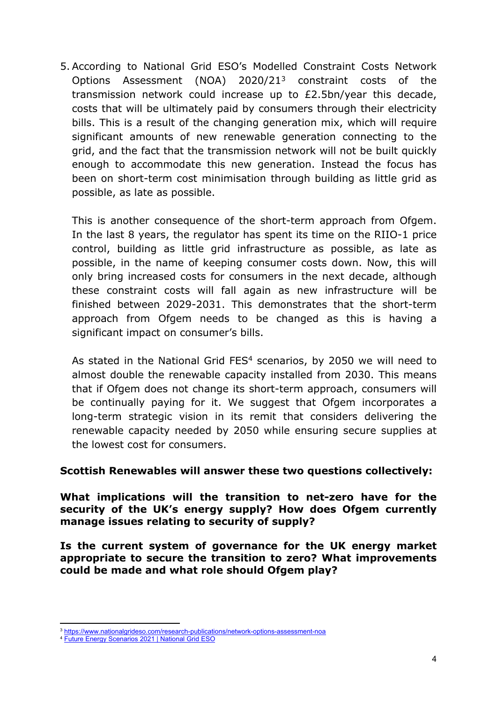5. According to National Grid ESO's Modelled Constraint Costs Network Options Assessment (NOA) 2020/21<sup>3</sup> constraint costs of the transmission network could increase up to £2.5bn/year this decade, costs that will be ultimately paid by consumers through their electricity bills. This is a result of the changing generation mix, which will require significant amounts of new renewable generation connecting to the grid, and the fact that the transmission network will not be built quickly enough to accommodate this new generation. Instead the focus has been on short-term cost minimisation through building as little grid as possible, as late as possible.

This is another consequence of the short-term approach from Ofgem. In the last 8 years, the regulator has spent its time on the RIIO-1 price control, building as little grid infrastructure as possible, as late as possible, in the name of keeping consumer costs down. Now, this will only bring increased costs for consumers in the next decade, although these constraint costs will fall again as new infrastructure will be finished between 2029-2031. This demonstrates that the short-term approach from Ofgem needs to be changed as this is having a significant impact on consumer's bills.

As stated in the National Grid FES<sup>4</sup> scenarios, by 2050 we will need to almost double the renewable capacity installed from 2030. This means that if Ofgem does not change its short-term approach, consumers will be continually paying for it. We suggest that Ofgem incorporates a long-term strategic vision in its remit that considers delivering the renewable capacity needed by 2050 while ensuring secure supplies at the lowest cost for consumers.

#### **Scottish Renewables will answer these two questions collectively:**

**What implications will the transition to net-zero have for the security of the UK's energy supply? How does Ofgem currently manage issues relating to security of supply?**

**Is the current system of governance for the UK energy market appropriate to secure the transition to zero? What improvements could be made and what role should Ofgem play?**

<sup>3</sup> <https://www.nationalgrideso.com/research-publications/network-options-assessment-noa>

<sup>4</sup> [Future](https://www.nationalgrideso.com/future-energy/future-energy-scenarios/fes-2021) [Energy](https://www.nationalgrideso.com/future-energy/future-energy-scenarios/fes-2021) [Scenarios](https://www.nationalgrideso.com/future-energy/future-energy-scenarios/fes-2021) [2021](https://www.nationalgrideso.com/future-energy/future-energy-scenarios/fes-2021) [|](https://www.nationalgrideso.com/future-energy/future-energy-scenarios/fes-2021) [National](https://www.nationalgrideso.com/future-energy/future-energy-scenarios/fes-2021) [Grid](https://www.nationalgrideso.com/future-energy/future-energy-scenarios/fes-2021) [ESO](https://www.nationalgrideso.com/future-energy/future-energy-scenarios/fes-2021)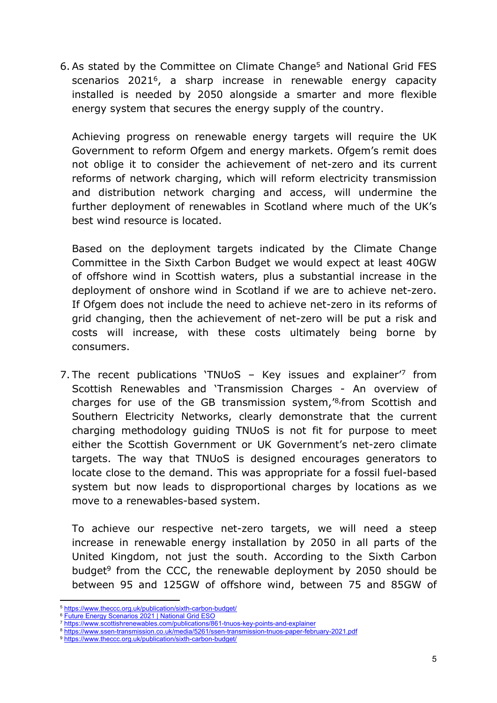6. As stated by the Committee on Climate Change<sup>5</sup> and National Grid FES scenarios 2021<sup>6</sup>, a sharp increase in renewable energy capacity installed is needed by 2050 alongside a smarter and more flexible energy system that secures the energy supply of the country.

Achieving progress on renewable energy targets will require the UK Government to reform Ofgem and energy markets. Ofgem's remit does not oblige it to consider the achievement of net-zero and its current reforms of network charging, which will reform electricity transmission and distribution network charging and access, will undermine the further deployment of renewables in Scotland where much of the UK's best wind resource is located.

Based on the deployment targets indicated by the Climate Change Committee in the Sixth Carbon Budget we would expect at least 40GW of offshore wind in Scottish waters, plus a substantial increase in the deployment of onshore wind in Scotland if we are to achieve net-zero. If Ofgem does not include the need to achieve net-zero in its reforms of grid changing, then the achievement of net-zero will be put a risk and costs will increase, with these costs ultimately being borne by consumers.

7. The recent publications 'TNUoS - Key issues and explainer<sup>'7</sup> from Scottish Renewables and 'Transmission Charges - An overview of charges for use of the GB transmission system,<sup>18,</sup> from Scottish and Southern Electricity Networks, clearly demonstrate that the current charging methodology guiding TNUoS is not fit for purpose to meet either the Scottish Government or UK Government's net-zero climate targets. The way that TNUoS is designed encourages generators to locate close to the demand. This was appropriate for a fossil fuel-based system but now leads to disproportional charges by locations as we move to a renewables-based system.

To achieve our respective net-zero targets, we will need a steep increase in renewable energy installation by 2050 in all parts of the United Kingdom, not just the south. According to the Sixth Carbon budget<sup>9</sup> from the CCC, the renewable deployment by 2050 should be between 95 and 125GW of offshore wind, between 75 and 85GW of

<sup>5</sup> <https://www.theccc.org.uk/publication/sixth-carbon-budget/>

<sup>6</sup> [Future](https://www.nationalgrideso.com/future-energy/future-energy-scenarios/fes-2021) [Energy](https://www.nationalgrideso.com/future-energy/future-energy-scenarios/fes-2021) [Scenarios](https://www.nationalgrideso.com/future-energy/future-energy-scenarios/fes-2021) [2021](https://www.nationalgrideso.com/future-energy/future-energy-scenarios/fes-2021) [|](https://www.nationalgrideso.com/future-energy/future-energy-scenarios/fes-2021) [National](https://www.nationalgrideso.com/future-energy/future-energy-scenarios/fes-2021) [Grid](https://www.nationalgrideso.com/future-energy/future-energy-scenarios/fes-2021) [ESO](https://www.nationalgrideso.com/future-energy/future-energy-scenarios/fes-2021)

<sup>7</sup> <https://www.scottishrenewables.com/publications/861-tnuos-key-points-and-explainer>

<sup>8</sup> <https://www.ssen-transmission.co.uk/media/5261/ssen-transmission-tnuos-paper-february-2021.pdf>

<sup>9</sup> <https://www.theccc.org.uk/publication/sixth-carbon-budget/>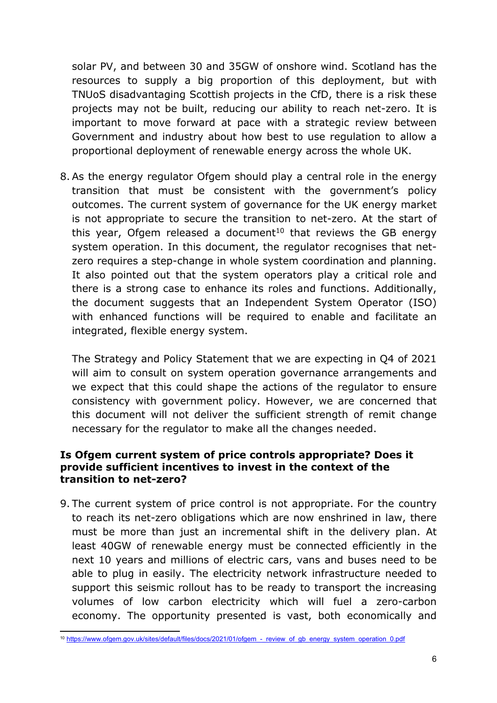solar PV, and between 30 and 35GW of onshore wind. Scotland has the resources to supply a big proportion of this deployment, but with TNUoS disadvantaging Scottish projects in the CfD, there is a risk these projects may not be built, reducing our ability to reach net-zero. It is important to move forward at pace with a strategic review between Government and industry about how best to use regulation to allow a proportional deployment of renewable energy across the whole UK.

8. As the energy regulator Ofgem should play a central role in the energy transition that must be consistent with the government's policy outcomes. The current system of governance for the UK energy market is not appropriate to secure the transition to net-zero. At the start of this year, Ofgem released a document<sup>10</sup> that reviews the GB energy system operation. In this document, the regulator recognises that netzero requires a step-change in whole system coordination and planning. It also pointed out that the system operators play a critical role and there is a strong case to enhance its roles and functions. Additionally, the document suggests that an Independent System Operator (ISO) with enhanced functions will be required to enable and facilitate an integrated, flexible energy system.

The Strategy and Policy Statement that we are expecting in Q4 of 2021 will aim to consult on system operation governance arrangements and we expect that this could shape the actions of the regulator to ensure consistency with government policy. However, we are concerned that this document will not deliver the sufficient strength of remit change necessary for the regulator to make all the changes needed.

## **Is Ofgem current system of price controls appropriate? Does it provide sufficient incentives to invest in the context of the transition to net-zero?**

9. The current system of price control is not appropriate. For the country to reach its net-zero obligations which are now enshrined in law, there must be more than just an incremental shift in the delivery plan. At least 40GW of renewable energy must be connected efficiently in the next 10 years and millions of electric cars, vans and buses need to be able to plug in easily. The electricity network infrastructure needed to support this seismic rollout has to be ready to transport the increasing volumes of low carbon electricity which will fuel a zero-carbon economy. The opportunity presented is vast, both economically and

<sup>10</sup> [https://www.ofgem.gov.uk/sites/default/files/docs/2021/01/ofgem\\_-\\_review\\_of\\_gb\\_energy\\_system\\_operation\\_0.pdf](https://www.ofgem.gov.uk/sites/default/files/docs/2021/01/ofgem_-_review_of_gb_energy_system_operation_0.pdf)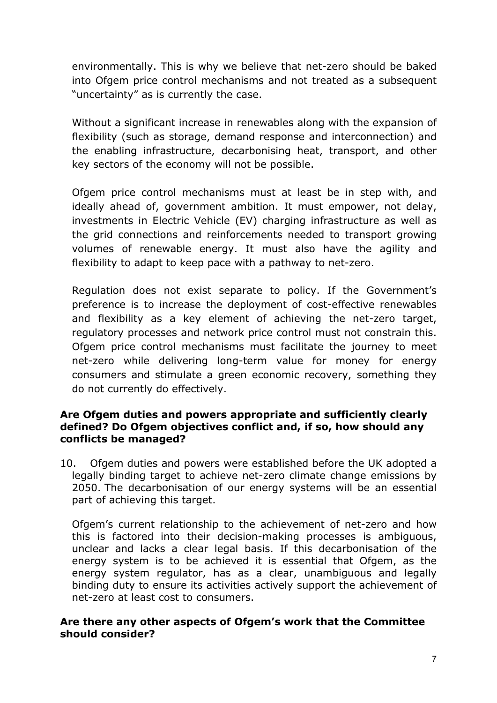environmentally. This is why we believe that net-zero should be baked into Ofgem price control mechanisms and not treated as a subsequent "uncertainty" as is currently the case.

Without a significant increase in renewables along with the expansion of flexibility (such as storage, demand response and interconnection) and the enabling infrastructure, decarbonising heat, transport, and other key sectors of the economy will not be possible.

Ofgem price control mechanisms must at least be in step with, and ideally ahead of, government ambition. It must empower, not delay, investments in Electric Vehicle (EV) charging infrastructure as well as the grid connections and reinforcements needed to transport growing volumes of renewable energy. It must also have the agility and flexibility to adapt to keep pace with a pathway to net-zero.

Regulation does not exist separate to policy. If the Government's preference is to increase the deployment of cost-effective renewables and flexibility as a key element of achieving the net-zero target, regulatory processes and network price control must not constrain this. Ofgem price control mechanisms must facilitate the journey to meet net-zero while delivering long-term value for money for energy consumers and stimulate a green economic recovery, something they do not currently do effectively.

#### **Are Ofgem duties and powers appropriate and sufficiently clearly defined? Do Ofgem objectives conflict and, if so, how should any conflicts be managed?**

10. Ofgem duties and powers were established before the UK adopted a legally binding target to achieve net-zero climate change emissions by 2050. The decarbonisation of our energy systems will be an essential part of achieving this target.

Ofgem's current relationship to the achievement of net-zero and how this is factored into their decision-making processes is ambiguous, unclear and lacks a clear legal basis. If this decarbonisation of the energy system is to be achieved it is essential that Ofgem, as the energy system regulator, has as a clear, unambiguous and legally binding duty to ensure its activities actively support the achievement of net-zero at least cost to consumers.

#### **Are there any other aspects of Ofgem's work that the Committee should consider?**